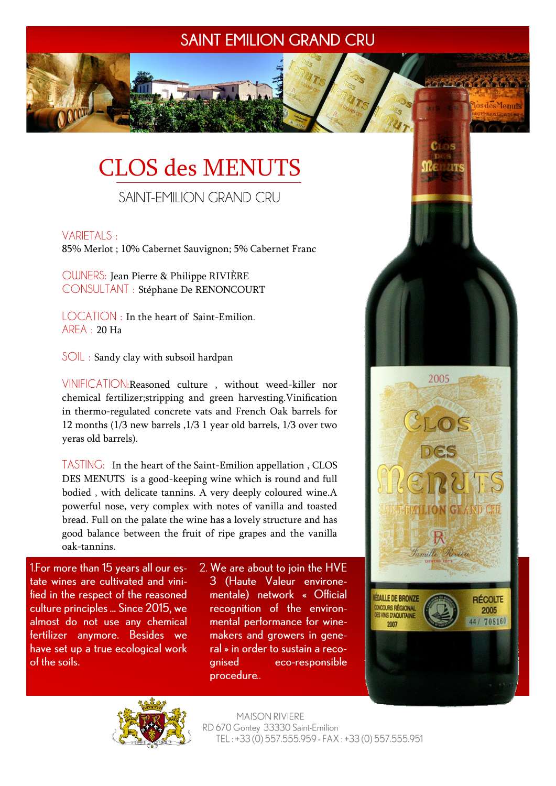## **SAINT EMILION GRAND CRU**

# CLOS des MENUTS

SAINT-EMILION GRAND CRU

#### VARIETALS :

85% Merlot ; 10% Cabernet Sauvignon; 5% Cabernet Franc

OWNERS: Jean Pierre & Philippe RIVIÈRE CONSULTANT : Stéphane De RENONCOURT

LOCATION : In the heart of Saint-Emilion. AREA : 20 Ha

SOIL : Sandy clay with subsoil hardpan

VINIFICATION:Reasoned culture , without weed-killer nor chemical fertilizer;stripping and green harvesting.Vinification in thermo-regulated concrete vats and French Oak barrels for 12 months (1/3 new barrels ,1/3 1 year old barrels, 1/3 over two yeras old barrels).

TASTING: In the heart of the Saint-Emilion appellation , CLOS DES MENUTS is a good-keeping wine which is round and full bodied , with delicate tannins. A very deeply coloured wine.A powerful nose, very complex with notes of vanilla and toasted bread. Full on the palate the wine has a lovely structure and has good balance between the fruit of ripe grapes and the vanilla oak-tannins.

1. For more than 15 years all our estate wines are cultivated and vinified in the respect of the reasoned culture principles ... Since 2015, we almost do not use any chemical fertilizer anymore. Besides we have set up a true ecological work of the soils.

2. We are about to join the HVE 3 (Haute Valeur environementale) network « Official recognition of the environmental performance for winemakers and growers in general » in order to sustain a recoanised eco-responsible procedure..



YOGICICIC (CIGIC IS)

los des Menuts



**MAISON RIVIERE** RD 670 Gontey 33330 Saint-Emilion TEL: +33 (0) 557.555.959 - FAX: +33 (0) 557.555.951